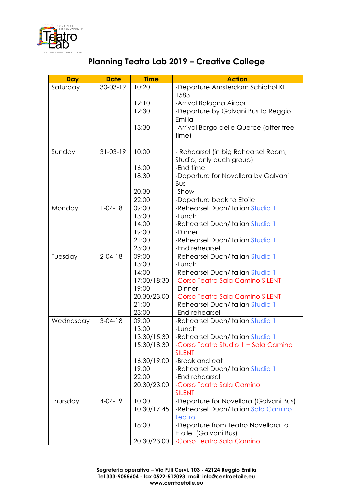

| <b>Day</b> | <b>Date</b>    | <b>Time</b> | <b>Action</b>                                         |
|------------|----------------|-------------|-------------------------------------------------------|
| Saturday   | $30 - 03 - 19$ | 10:20       | -Departure Amsterdam Schiphol KL                      |
|            |                |             | 1583                                                  |
|            |                | 12:10       | -Arrival Bologna Airport                              |
|            |                | 12:30       | -Departure by Galvani Bus to Reggio                   |
|            |                |             | Emilia                                                |
|            |                | 13:30       | -Arrival Borgo delle Querce (after free               |
|            |                |             | time)                                                 |
| Sunday     | $31 - 03 - 19$ | 10:00       | - Rehearsel (in big Rehearsel Room,                   |
|            |                |             | Studio, only duch group)                              |
|            |                | 16:00       | -End time                                             |
|            |                | 18.30       | -Departure for Novellara by Galvani                   |
|            |                |             | Bus                                                   |
|            |                | 20.30       | -Show                                                 |
|            |                | 22.00       | -Departure back to Etoile                             |
| Monday     | $1 - 04 - 18$  | 09:00       | -Rehearsel Duch/Italian Studio 1                      |
|            |                | 13:00       | -Lunch                                                |
|            |                | 14:00       | -Rehearsel Duch/Italian Studio 1                      |
|            |                | 19:00       | -Dinner                                               |
|            |                | 21:00       | -Rehearsel Duch/Italian Studio 1                      |
|            |                | 23:00       | -End rehearsel                                        |
| Tuesday    | $2 - 04 - 18$  | 09:00       | -Rehearsel Duch/Italian Studio 1                      |
|            |                | 13:00       | -Lunch                                                |
|            |                | 14:00       | -Rehearsel Duch/Italian Studio 1                      |
|            |                | 17:00/18:30 | -Corso Teatro Sala Camino SILENT                      |
|            |                | 19:00       | -Dinner                                               |
|            |                | 20.30/23.00 | -Corso Teatro Sala Camino SILENT                      |
|            |                | 21:00       | -Rehearsel Duch/Italian Studio 1                      |
|            |                | 23:00       | -End rehearsel                                        |
| Wednesday  | $3 - 04 - 18$  | 09:00       | -Rehearsel Duch/Italian Studio 1                      |
|            |                | 13:00       | -Lunch                                                |
|            |                | 13.30/15.30 | -Rehearsel Duch/Italian Studio 1                      |
|            |                | 15:30/18:30 | -Corso Teatro Studio 1 + Sala Camino<br><b>SILENT</b> |
|            |                | 16.30/19.00 | -Break and eat                                        |
|            |                | 19.00       | -Rehearsel Duch/Italian Studio 1                      |
|            |                | 22.00       | -End rehearsel                                        |
|            |                | 20.30/23.00 | -Corso Teatro Sala Camino                             |
|            |                |             | <b>SILENT</b>                                         |
| Thursday   | $4 - 04 - 19$  | 10.00       | -Departure for Novellara (Galvani Bus)                |
|            |                | 10.30/17.45 | -Rehearsel Duch/Italian Sala Camino                   |
|            |                |             | Teatro                                                |
|            |                | 18:00       | -Departure from Teatro Novellara to                   |
|            |                |             | Etoile (Galvani Bus)                                  |
|            |                | 20.30/23.00 | -Corso Teatro Sala Camino                             |

## **Planning Teatro Lab 2019 – Creative College**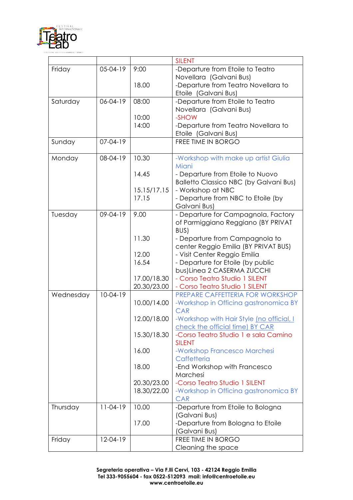

| -Departure from Etoile to Teatro<br>Friday<br>$05-04-19$<br>9:00<br>Novellara (Galvani Bus)<br>18.00<br>-Departure from Teatro Novellara to<br>Etoile (Galvani Bus) |
|---------------------------------------------------------------------------------------------------------------------------------------------------------------------|
|                                                                                                                                                                     |
|                                                                                                                                                                     |
|                                                                                                                                                                     |
|                                                                                                                                                                     |
| -Departure from Etoile to Teatro<br>$06 - 04 - 19$<br>08:00<br>Saturday                                                                                             |
| Novellara (Galvani Bus)                                                                                                                                             |
| -SHOW<br>10:00                                                                                                                                                      |
| 14:00<br>-Departure from Teatro Novellara to                                                                                                                        |
| Etoile (Galvani Bus)                                                                                                                                                |
| $07 - 04 - 19$<br>FREE TIME IN BORGO<br>Sunday                                                                                                                      |
|                                                                                                                                                                     |
| 10.30<br>Monday<br>08-04-19<br>-Workshop with make up artist Giulia                                                                                                 |
| Miani                                                                                                                                                               |
| 14.45<br>- Departure from Etoile to Nuovo                                                                                                                           |
| <b>Balletto Classico NBC (by Galvani Bus)</b>                                                                                                                       |
| 15.15/17.15<br>- Workshop at NBC                                                                                                                                    |
| 17.15<br>- Departure from NBC to Etoile (by                                                                                                                         |
| Galvani Bus)                                                                                                                                                        |
| 9.00<br>- Departure for Campagnola, Factory<br>Tuesday<br>$09 - 04 - 19$                                                                                            |
| of Parmiggiano Reggiano (BY PRIVAT                                                                                                                                  |
| BUS)                                                                                                                                                                |
| 11.30<br>- Departure from Campagnola to                                                                                                                             |
| center Reggio Emilia (BY PRIVAT BUS)                                                                                                                                |
| 12.00<br>- Visit Center Reggio Emilia                                                                                                                               |
| 16.54<br>- Departure for Etoile (by public                                                                                                                          |
| bus) Linea 2 CASERMA ZUCCHI                                                                                                                                         |
| - Corso Teatro Studio 1 SILENT<br>17.00/18.30                                                                                                                       |
| 20.30/23.00<br>- Corso Teatro Studio 1 SILENT                                                                                                                       |
| PREPARE CAFFETTERIA FOR WORKSHOP<br>$10-04-19$<br>Wednesday                                                                                                         |
| 10.00/14.00<br>-Workshop in Officina gastronomica BY                                                                                                                |
| <b>CAR</b>                                                                                                                                                          |
| 12.00/18.00<br>-Workshop with Hair Style (no official, I                                                                                                            |
| check the official time) BY CAR                                                                                                                                     |
| -Corso Teatro Studio 1 e sala Camino<br>15.30/18.30                                                                                                                 |
| <b>SILENT</b>                                                                                                                                                       |
| 16.00<br>-Workshop Francesco Marchesi                                                                                                                               |
| Caffetteria                                                                                                                                                         |
| 18.00<br>-End Workshop with Francesco                                                                                                                               |
| Marchesi                                                                                                                                                            |
| -Corso Teatro Studio 1 SILENT<br>20.30/23.00                                                                                                                        |
| 18.30/22.00<br>-Workshop in Officina gastronomica BY                                                                                                                |
| <b>CAR</b>                                                                                                                                                          |
| $11-04-19$<br>10.00<br>-Departure from Etoile to Bologna<br>Thursday                                                                                                |
| (Galvani Bus)                                                                                                                                                       |
| -Departure from Bologna to Etoile<br>17.00                                                                                                                          |
| (Galvani Bus)                                                                                                                                                       |
| FREE TIME IN BORGO<br>Friday<br>$12-04-19$                                                                                                                          |
| Cleaning the space                                                                                                                                                  |